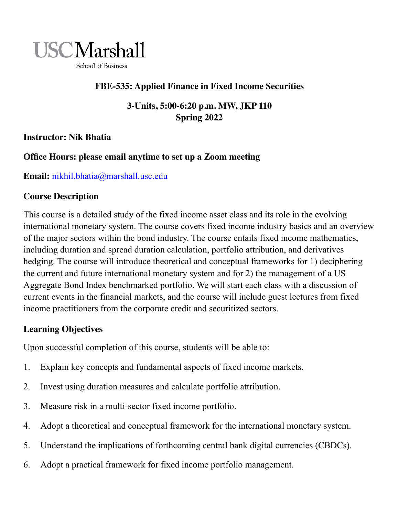

## **FBE-535: Applied Finance in Fixed Income Securities**

**3-Units, 5:00-6:20 p.m. MW, JKP 110 Spring 2022**

**Instructor: Nik Bhatia**

## **Office Hours: please email anytime to set up a Zoom meeting**

**Email:** nikhil.bhatia@marshall.usc.edu

## **Course Description**

This course is a detailed study of the fixed income asset class and its role in the evolving international monetary system. The course covers fixed income industry basics and an overview of the major sectors within the bond industry. The course entails fixed income mathematics, including duration and spread duration calculation, portfolio attribution, and derivatives hedging. The course will introduce theoretical and conceptual frameworks for 1) deciphering the current and future international monetary system and for 2) the management of a US Aggregate Bond Index benchmarked portfolio. We will start each class with a discussion of current events in the financial markets, and the course will include guest lectures from fixed income practitioners from the corporate credit and securitized sectors.

## **Learning Objectives**

Upon successful completion of this course, students will be able to:

- 1. Explain key concepts and fundamental aspects of fixed income markets.
- 2. Invest using duration measures and calculate portfolio attribution.
- 3. Measure risk in a multi-sector fixed income portfolio.
- 4. Adopt a theoretical and conceptual framework for the international monetary system.
- 5. Understand the implications of forthcoming central bank digital currencies (CBDCs).
- 6. Adopt a practical framework for fixed income portfolio management.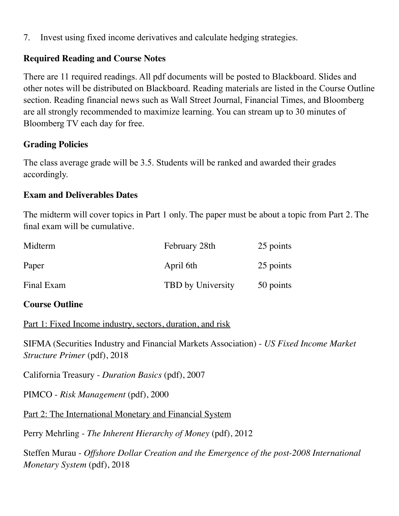7. Invest using fixed income derivatives and calculate hedging strategies.

## **Required Reading and Course Notes**

There are 11 required readings. All pdf documents will be posted to Blackboard. Slides and other notes will be distributed on Blackboard. Reading materials are listed in the Course Outline section. Reading financial news such as Wall Street Journal, Financial Times, and Bloomberg are all strongly recommended to maximize learning. You can stream up to 30 minutes of Bloomberg TV each day for free.

## **Grading Policies**

The class average grade will be 3.5. Students will be ranked and awarded their grades accordingly.

#### **Exam and Deliverables Dates**

The midterm will cover topics in Part 1 only. The paper must be about a topic from Part 2. The final exam will be cumulative.

| Midterm    | February 28th     | 25 points |
|------------|-------------------|-----------|
| Paper      | April 6th         | 25 points |
| Final Exam | TBD by University | 50 points |

#### **Course Outline**

Part 1: Fixed Income industry, sectors, duration, and risk

SIFMA (Securities Industry and Financial Markets Association) - *US Fixed Income Market Structure Primer* (pdf), 2018

California Treasury - *Duration Basics* (pdf), 2007

PIMCO - *Risk Management* (pdf), 2000

Part 2: The International Monetary and Financial System

Perry Mehrling - *The Inherent Hierarchy of Money* (pdf), 2012

Steffen Murau - *Offshore Dollar Creation and the Emergence of the post-2008 International Monetary System* (pdf), 2018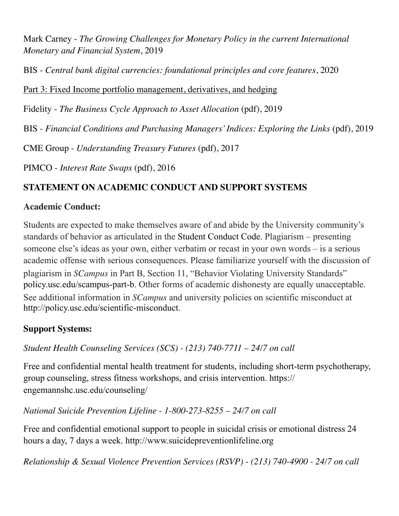Mark Carney - *The Growing Challenges for Monetary Policy in the current International Monetary and Financial System*, 2019

BIS - *Central bank digital currencies: foundational principles and core features*, 2020

Part 3: Fixed Income portfolio management, derivatives, and hedging

Fidelity - *The Business Cycle Approach to Asset Allocation* (pdf), 2019

BIS - *Financial Conditions and Purchasing Managers' Indices: Exploring the Links* (pdf), 2019

CME Group - *Understanding Treasury Futures* (pdf), 2017

PIMCO - *Interest Rate Swaps* (pdf), 2016

# **STATEMENT ON ACADEMIC CONDUCT AND SUPPORT SYSTEMS**

## **Academic Conduct:**

Students are expected to make themselves aware of and abide by the University community's standards of behavior as articulated in the Student Conduct Code. Plagiarism – presenting someone else's ideas as your own, either verbatim or recast in your own words – is a serious academic offense with serious consequences. Please familiarize yourself with the discussion of plagiarism in *SCampus* in Part B, Section 11, "Behavior Violating University Standards" policy.usc.edu/scampus-part-b. Other forms of academic dishonesty are equally unacceptable. See additional information in *SCampus* and university policies on scientific misconduct at http://policy.usc.edu/scientific-misconduct.

# **Support Systems:**

*Student Health Counseling Services (SCS) - (213) 740-7711 – 24/7 on call* 

Free and confidential mental health treatment for students, including short-term psychotherapy, group counseling, stress fitness workshops, and crisis intervention. https:// engemannshc.usc.edu/counseling/

*National Suicide Prevention Lifeline - 1-800-273-8255 – 24/7 on call* 

Free and confidential emotional support to people in suicidal crisis or emotional distress 24 hours a day, 7 days a week. http://www.suicidepreventionlifeline.org

*Relationship & Sexual Violence Prevention Services (RSVP) - (213) 740-4900 - 24/7 on call*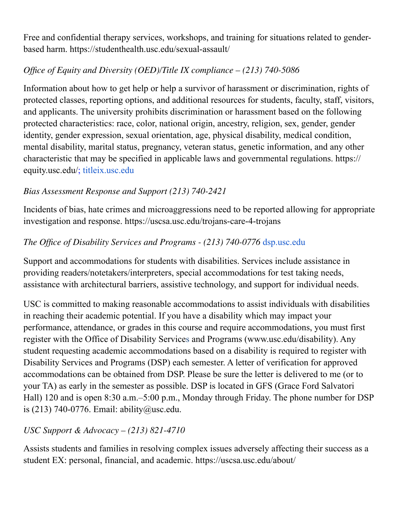Free and confidential therapy services, workshops, and training for situations related to genderbased harm. https://studenthealth.usc.edu/sexual-assault/

# *Office of Equity and Diversity (OED)/Title IX compliance – (213) 740-5086*

Information about how to get help or help a survivor of harassment or discrimination, rights of protected classes, reporting options, and additional resources for students, faculty, staff, visitors, and applicants. The university prohibits discrimination or harassment based on the following protected characteristics: race, color, national origin, ancestry, religion, sex, gender, gender identity, gender expression, sexual orientation, age, physical disability, medical condition, mental disability, marital status, pregnancy, veteran status, genetic information, and any other characteristic that may be specified in applicable laws and governmental regulations. https:// equity.usc.edu/; titleix.usc.edu

# *Bias Assessment Response and Support (213) 740-2421*

Incidents of bias, hate crimes and microaggressions need to be reported allowing for appropriate investigation and response. https://uscsa.usc.edu/trojans-care-4-trojans

## *The Office of Disability Services and Programs - (213) 740-0776* dsp.usc.edu

Support and accommodations for students with disabilities. Services include assistance in providing readers/notetakers/interpreters, special accommodations for test taking needs, assistance with architectural barriers, assistive technology, and support for individual needs.

USC is committed to making reasonable accommodations to assist individuals with disabilities in reaching their academic potential. If you have a disability which may impact your performance, attendance, or grades in this course and require accommodations, you must first register with the Office of Disability Services and Programs (www.usc.edu/disability). Any student requesting academic accommodations based on a disability is required to register with Disability Services and Programs (DSP) each semester. A letter of verification for approved accommodations can be obtained from DSP. Please be sure the letter is delivered to me (or to your TA) as early in the semester as possible. DSP is located in GFS (Grace Ford Salvatori Hall) 120 and is open 8:30 a.m.–5:00 p.m., Monday through Friday. The phone number for DSP is (213) 740-0776. Email: ability@usc.edu.

# *USC Support & Advocacy – (213) 821-4710*

Assists students and families in resolving complex issues adversely affecting their success as a student EX: personal, financial, and academic. https://uscsa.usc.edu/about/